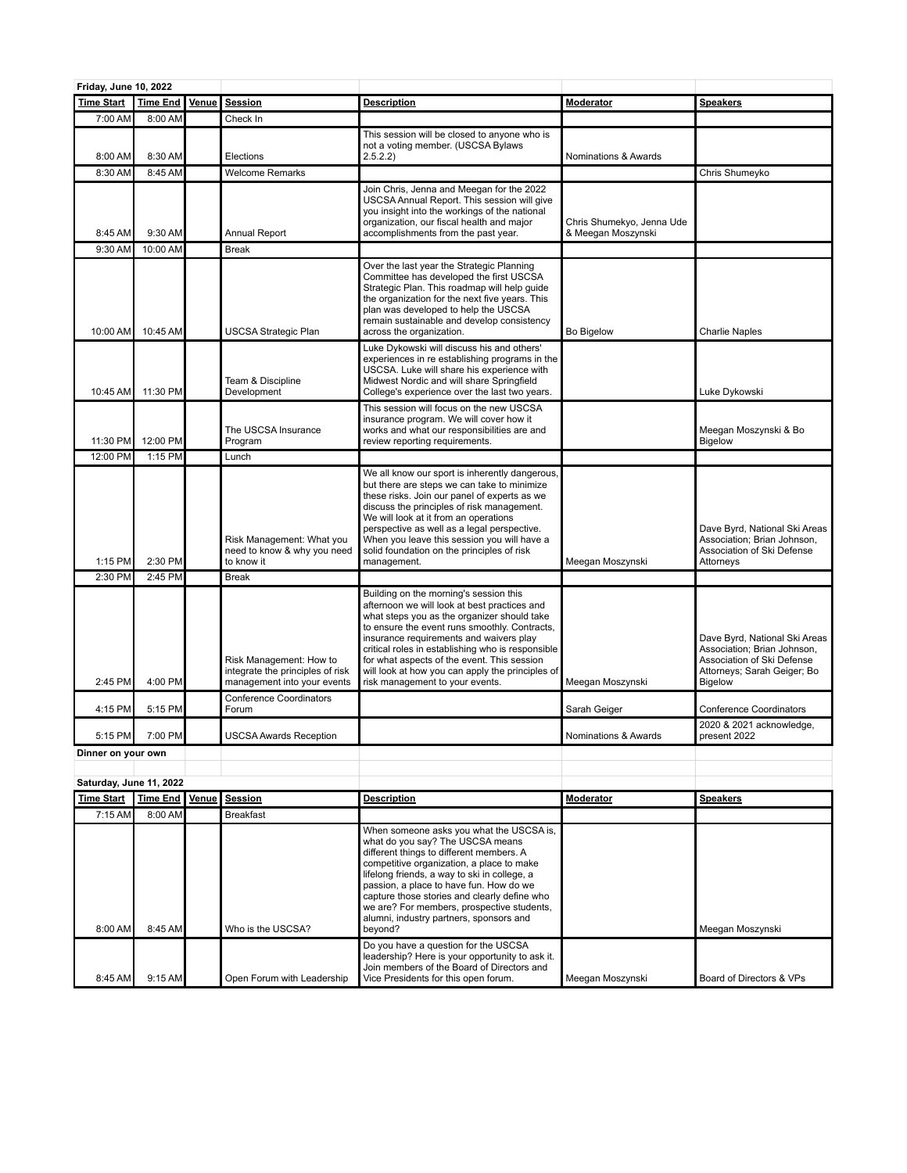| Friday, June 10, 2022   |                 |       |                                                                                            |                                                                                                                                                                                                                                                                                                                                                                                                                              |                                                 |                                                                                                                                             |
|-------------------------|-----------------|-------|--------------------------------------------------------------------------------------------|------------------------------------------------------------------------------------------------------------------------------------------------------------------------------------------------------------------------------------------------------------------------------------------------------------------------------------------------------------------------------------------------------------------------------|-------------------------------------------------|---------------------------------------------------------------------------------------------------------------------------------------------|
| <b>Time Start</b>       | <b>Time End</b> | Venue | <b>Session</b>                                                                             | <b>Description</b>                                                                                                                                                                                                                                                                                                                                                                                                           | <b>Moderator</b>                                | <b>Speakers</b>                                                                                                                             |
| 7:00 AM                 | 8:00 AM         |       | Check In                                                                                   |                                                                                                                                                                                                                                                                                                                                                                                                                              |                                                 |                                                                                                                                             |
| 8:00 AM                 | 8:30 AM         |       | Elections                                                                                  | This session will be closed to anyone who is<br>not a voting member. (USCSA Bylaws<br>2.5.2.2)                                                                                                                                                                                                                                                                                                                               | Nominations & Awards                            |                                                                                                                                             |
| 8:30 AM                 | 8:45 AM         |       | <b>Welcome Remarks</b>                                                                     |                                                                                                                                                                                                                                                                                                                                                                                                                              |                                                 | Chris Shumeyko                                                                                                                              |
| 8:45 AM                 | 9:30 AM         |       | Annual Report                                                                              | Join Chris, Jenna and Meegan for the 2022<br>USCSA Annual Report. This session will give<br>you insight into the workings of the national<br>organization, our fiscal health and major<br>accomplishments from the past year.                                                                                                                                                                                                | Chris Shumekyo, Jenna Ude<br>& Meegan Moszynski |                                                                                                                                             |
| 9:30 AM                 | 10:00 AM        |       | <b>Break</b>                                                                               |                                                                                                                                                                                                                                                                                                                                                                                                                              |                                                 |                                                                                                                                             |
| 10:00 AM                | 10:45 AM        |       | USCSA Strategic Plan                                                                       | Over the last year the Strategic Planning<br>Committee has developed the first USCSA<br>Strategic Plan. This roadmap will help guide<br>the organization for the next five years. This<br>plan was developed to help the USCSA<br>remain sustainable and develop consistency<br>across the organization.                                                                                                                     | <b>Bo Bigelow</b>                               | <b>Charlie Naples</b>                                                                                                                       |
|                         |                 |       |                                                                                            | Luke Dykowski will discuss his and others'                                                                                                                                                                                                                                                                                                                                                                                   |                                                 |                                                                                                                                             |
| 10:45 AM                | 11:30 PM        |       | Team & Discipline<br>Development                                                           | experiences in re establishing programs in the<br>USCSA. Luke will share his experience with<br>Midwest Nordic and will share Springfield<br>College's experience over the last two years.                                                                                                                                                                                                                                   |                                                 | Luke Dykowski                                                                                                                               |
| 11:30 PM                | 12:00 PM        |       | The USCSA Insurance<br>Program                                                             | This session will focus on the new USCSA<br>insurance program. We will cover how it<br>works and what our responsibilities are and<br>review reporting requirements.                                                                                                                                                                                                                                                         |                                                 | Meegan Moszynski & Bo<br>Bigelow                                                                                                            |
| 12:00 PM                | 1:15 PM         |       | Lunch                                                                                      |                                                                                                                                                                                                                                                                                                                                                                                                                              |                                                 |                                                                                                                                             |
| 1:15 PM                 | 2:30 PM         |       | Risk Management: What you<br>need to know & why you need<br>to know it                     | We all know our sport is inherently dangerous,<br>but there are steps we can take to minimize<br>these risks. Join our panel of experts as we<br>discuss the principles of risk management.<br>We will look at it from an operations<br>perspective as well as a legal perspective.<br>When you leave this session you will have a<br>solid foundation on the principles of risk<br>management.                              | Meegan Moszynski                                | Dave Byrd, National Ski Areas<br>Association; Brian Johnson,<br>Association of Ski Defense<br>Attorneys                                     |
| 2:30 PM                 | 2:45 PM         |       | <b>Break</b>                                                                               |                                                                                                                                                                                                                                                                                                                                                                                                                              |                                                 |                                                                                                                                             |
| 2:45 PM                 | 4:00 PM         |       | Risk Management: How to<br>integrate the principles of risk<br>management into your events | Building on the morning's session this<br>afternoon we will look at best practices and<br>what steps you as the organizer should take<br>to ensure the event runs smoothly. Contracts,<br>insurance requirements and waivers play<br>critical roles in establishing who is responsible<br>for what aspects of the event. This session<br>will look at how you can apply the principles of<br>risk management to your events. | Meegan Moszynski                                | Dave Byrd, National Ski Areas<br>Association; Brian Johnson,<br>Association of Ski Defense<br>Attorneys; Sarah Geiger; Bo<br><b>Bigelow</b> |
| 4:15 PM                 | 5:15 PM         |       | <b>Conference Coordinators</b><br>Forum                                                    |                                                                                                                                                                                                                                                                                                                                                                                                                              | Sarah Geiger                                    | <b>Conference Coordinators</b>                                                                                                              |
|                         |                 |       |                                                                                            |                                                                                                                                                                                                                                                                                                                                                                                                                              |                                                 | 2020 & 2021 acknowledge,                                                                                                                    |
| 5:15 PM                 | 7:00 PM         |       | <b>USCSA Awards Reception</b>                                                              |                                                                                                                                                                                                                                                                                                                                                                                                                              | Nominations & Awards                            | present 2022                                                                                                                                |
| Dinner on your own      |                 |       |                                                                                            |                                                                                                                                                                                                                                                                                                                                                                                                                              |                                                 |                                                                                                                                             |
| Saturday, June 11, 2022 |                 |       |                                                                                            |                                                                                                                                                                                                                                                                                                                                                                                                                              |                                                 |                                                                                                                                             |
| <b>Time Start</b>       | <b>Time End</b> | Venue | <b>Session</b>                                                                             | <b>Description</b>                                                                                                                                                                                                                                                                                                                                                                                                           | Moderator                                       | <b>Speakers</b>                                                                                                                             |
| 7:15 AM                 | 8:00 AM         |       | <b>Breakfast</b>                                                                           |                                                                                                                                                                                                                                                                                                                                                                                                                              |                                                 |                                                                                                                                             |
| 8:00 AM                 | 8:45 AM         |       | Who is the USCSA?                                                                          | When someone asks you what the USCSA is,<br>what do you say? The USCSA means<br>different things to different members. A<br>competitive organization, a place to make<br>lifelong friends, a way to ski in college, a<br>passion, a place to have fun. How do we<br>capture those stories and clearly define who<br>we are? For members, prospective students,<br>alumni, industry partners, sponsors and<br>beyond?         |                                                 | Meegan Moszynski                                                                                                                            |
| 8:45 AM                 | 9:15 AM         |       | Open Forum with Leadership                                                                 | Do you have a question for the USCSA<br>leadership? Here is your opportunity to ask it.<br>Join members of the Board of Directors and<br>Vice Presidents for this open forum.                                                                                                                                                                                                                                                | Meegan Moszynski                                | Board of Directors & VPs                                                                                                                    |